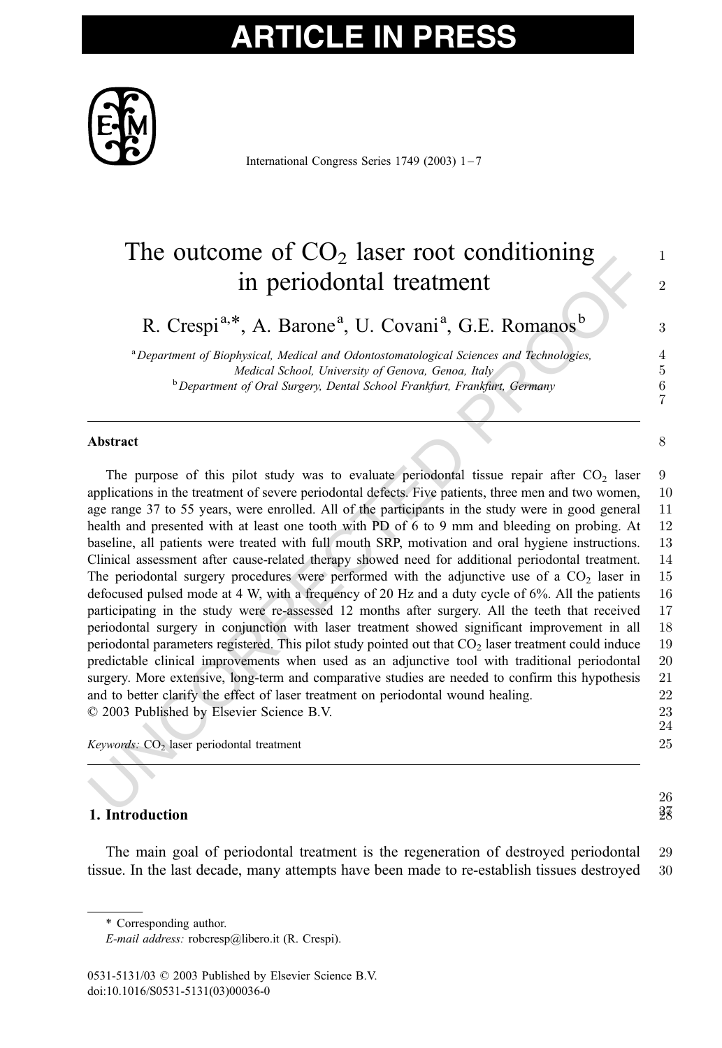# **ARTICLE IN PR**



International Congress Series 1749 (2003) 1 – 7

### The outcome of  $CO<sub>2</sub>$  laser root conditioning  $1$ in periodontal treatment  $\frac{2}{x^2}$

R. Crespi<sup>a,\*</sup>, A. Barone<sup>a</sup>, U. Covani<sup>a</sup>, G.E. Romanos<sup>b</sup> 3

<sup>a</sup> Department of Biophysical, Medical and Odontostomatological Sciences and Technologies, 4 Medical School, University of Genova, Genoa, Italy 5 <sup>b</sup> Department of Oral Surgery, Dental School Frankfurt, Frankfurt, Germany 6

7

26

#### Abstract 8 and 8 and 8 and 8 and 8 and 8 and 8 and 8 and 8 and 8 and 8 and 8 and 8 and 8 and 8 and 8 and 8 and 8 and 8 and 8 and 8 and 8 and 8 and 8 and 8 and 8 and 8 and 8 and 8 and 8 and 8 and 8 and 8 and 8 and 8 and 8 a

The Outcomine of  $C_2D_2$  ration foot contributioning<br>
In periodiontal treatment<br>
R. Crespi<sup>a,\*</sup>, A. Barone<sup>a</sup>, U. Covani<sup>a</sup>, G.E. Romanos<sup>b</sup><br> *<sup>t</sup>Department of Biophysical. Medical and Odontotomatological Sciences and Te* The purpose of this pilot study was to evaluate periodontal tissue repair after  $CO<sub>2</sub>$  laser 9 applications in the treatment of severe periodontal defects. Five patients, three men and two women, 10 age range 37 to 55 years, were enrolled. All of the participants in the study were in good general 11 health and presented with at least one tooth with PD of 6 to 9 mm and bleeding on probing. At 12 baseline, all patients were treated with full mouth SRP, motivation and oral hygiene instructions. 13 Clinical assessment after cause-related therapy showed need for additional periodontal treatment. 14 The periodontal surgery procedures were performed with the adjunctive use of a  $CO<sub>2</sub>$  laser in 15 defocused pulsed mode at 4 W, with a frequency of 20 Hz and a duty cycle of 6%. All the patients 16 participating in the study were re-assessed 12 months after surgery. All the teeth that received 17 periodontal surgery in conjunction with laser treatment showed significant improvement in all 18 periodontal parameters registered. This pilot study pointed out that  $CO<sub>2</sub>$  laser treatment could induce 19 predictable clinical improvements when used as an adjunctive tool with traditional periodontal 20 surgery. More extensive, long-term and comparative studies are needed to confirm this hypothesis 21 and to better clarify the effect of laser treatment on periodontal wound healing. 22 D 2003 Published by Elsevier Science B.V. 23 24

 $Keywords: CO<sub>2</sub> laser periodontal treatment$  25

### **1. Introduction**  $\frac{28}{3}$

The main goal of periodontal treatment is the regeneration of destroyed periodontal 29 tissue. In the last decade, many attempts have been made to re-establish tissues destroyed 30

<sup>\*</sup> Corresponding author.

E-mail address: robcresp@libero.it (R. Crespi).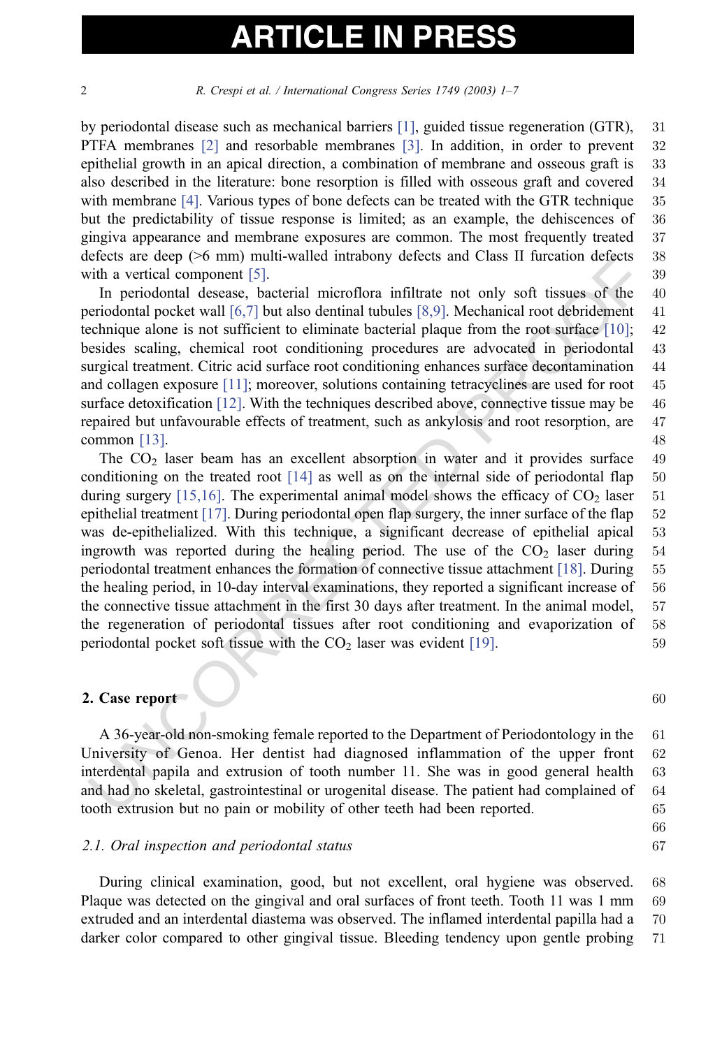2 R. Crespi et al. / International Congress Series 1749 (2003) 1–7

by periodontal disease such as mechanical barriers [\[1\],](#page-5-0) guided tissue regeneration (GTR), 31 PTFA membranes [\[2\]](#page-5-0) and resorbable membranes [\[3\].](#page-5-0) In addition, in order to prevent 32 epithelial growth in an apical direction, a combination of membrane and osseous graft is 33 also described in the literature: bone resorption is filled with osseous graft and covered 34 with membrane [\[4\].](#page-5-0) Various types of bone defects can be treated with the GTR technique 35 but the predictability of tissue response is limited; as an example, the dehiscences of 36 gingiva appearance and membrane exposures are common. The most frequently treated 37 defects are deep (>6 mm) multi-walled intrabony defects and Class II furcation defects 38 with a vertical component [5]. 39

In periodontal desease, bacterial microflora infiltrate not only soft tissues of the 40 periodontal pocket wall [6,7] but also dentinal tubules [8,9]. Mechanical root debridement 41 technique alone is not sufficient to eliminate bacterial plaque from the root surface [10]; 42 besides scaling, chemical root conditioning procedures are advocated in periodontal 43 surgical treatment. Citric acid surface root conditioning enhances surface decontamination 44 and collagen exposure [11]; moreover, solutions containing tetracyclines are used for root 45 surface detoxification  $[12]$ . With the techniques described above, connective tissue may be 46 repaired but unfavourable effects of treatment, such as ankylosis and root resorption, are 47 common [13]. 48

erests are acep (4.6 mm) munu-waned intranomy detects and Class 11 turcation detects<br>with a vertical component [5].<br>
In periodional desease, bacterial microflora infiltrate not only soft issues of the<br>
periodional desease, The  $CO<sub>2</sub>$  laser beam has an excellent absorption in water and it provides surface 49 conditioning on the treated root  $[14]$  as well as on the internal side of periodontal flap 50 during surgery  $[15,16]$ . The experimental animal model shows the efficacy of  $CO<sub>2</sub>$  laser 51 epithelial treatment [17]. During periodontal open flap surgery, the inner surface of the flap 52 was de-epithelialized. With this technique, a significant decrease of epithelial apical 53 ingrowth was reported during the healing period. The use of the  $CO<sub>2</sub>$  laser during 54 periodontal treatment enhances the formation of connective tissue attachment [18]. During 55 the healing period, in 10-day interval examinations, they reported a significant increase of 56 the connective tissue attachment in the first 30 days after treatment. In the animal model, 57 the regeneration of periodontal tissues after root conditioning and evaporization of 58 periodontal pocket soft tissue with the  $CO<sub>2</sub>$  laser was evident [19].  $59$ 

#### 2. Case report  $\sim$  60

A 36-year-old non-smoking female reported to the Department of Periodontology in the 61 University of Genoa. Her dentist had diagnosed inflammation of the upper front 62 interdental papila and extrusion of tooth number 11. She was in good general health 63 and had no skeletal, gastrointestinal or urogenital disease. The patient had complained of 64 tooth extrusion but no pain or mobility of other teeth had been reported. 65

#### 2.1. Oral inspection and periodontal status 67

During clinical examination, good, but not excellent, oral hygiene was observed. 68 Plaque was detected on the gingival and oral surfaces of front teeth. Tooth 11 was 1 mm 69 extruded and an interdental diastema was observed. The inflamed interdental papilla had a 70 darker color compared to other gingival tissue. Bleeding tendency upon gentle probing 71

66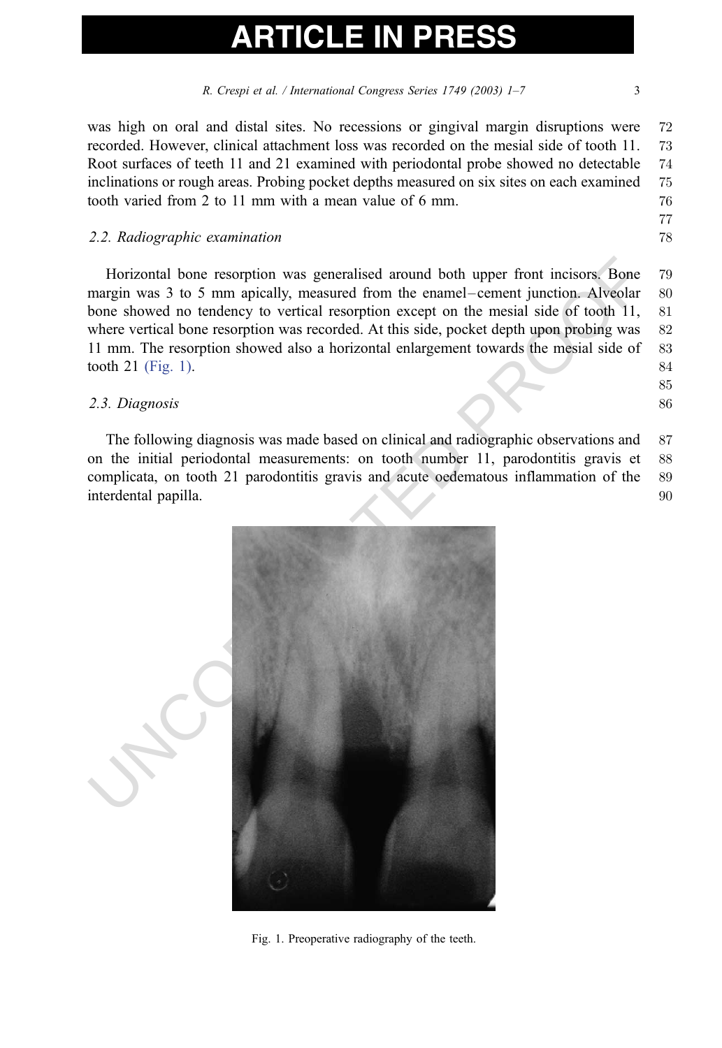R. Crespi et al. / International Congress Series 1749 (2003) 1–7 3

was high on oral and distal sites. No recessions or gingival margin disruptions were 72 recorded. However, clinical attachment loss was recorded on the mesial side of tooth 11. 73 Root surfaces of teeth 11 and 21 examined with periodontal probe showed no detectable 74 inclinations or rough areas. Probing pocket depths measured on six sites on each examined 75 tooth varied from 2 to 11 mm with a mean value of 6 mm.  $\frac{76}{2}$ 

### 2.2. Radiographic examination **78**

Horizontal bone resorption was generalised around both upper front incisors. Bone 79 margin was 3 to 5 mm apically, measured from the enamel–cement junction. Alveolar 80 bone showed no tendency to vertical resorption except on the mesial side of tooth 11, 81 where vertical bone resorption was recorded. At this side, pocket depth upon probing was 82 11 mm. The resorption showed also a horizontal enlargement towards the mesial side of 83 tooth 21 (Fig. 1).  $84$ 

### 2.3. Diagnosis 86

The following diagnosis was made based on clinical and radiographic observations and 87 on the initial periodontal measurements: on tooth number 11, parodontitis gravis et 88 complicata, on tooth 21 parodontitis gravis and acute oedematous inflammation of the 89 interdental papilla. 90



Fig. 1. Preoperative radiography of the teeth.

77

85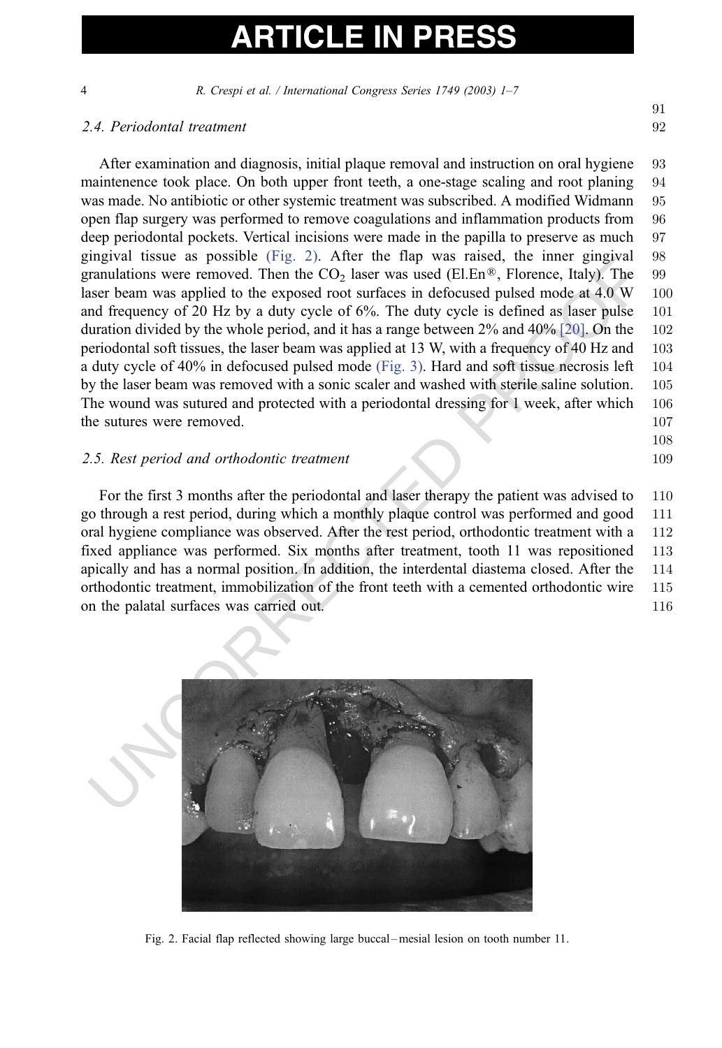4 R. Crespi et al. / International Congress Series 1749 (2003) 1–7

### 2.4. Periodontal treatment 92

In the system as possible (Fig. 2). After the fight was raised, the miner gingwal its<br>suraulations were removed. Then the CO<sub>2</sub> laser was used (ELEn®, Florence, Italy). The<br>sacr beam was applied to the exposed root surfac After examination and diagnosis, initial plaque removal and instruction on oral hygiene 93 maintenence took place. On both upper front teeth, a one-stage scaling and root planing 94 was made. No antibiotic or other systemic treatment was subscribed. A modified Widmann 95 open flap surgery was performed to remove coagulations and inflammation products from 96 deep periodontal pockets. Vertical incisions were made in the papilla to preserve as much 97 gingival tissue as possible (Fig. 2). After the flap was raised, the inner gingival 98 granulations were removed. Then the  $CO<sub>2</sub>$  laser was used (El.En®, Florence, Italy). The 99 laser beam was applied to the exposed root surfaces in defocused pulsed mode at 4.0 W 100 and frequency of 20 Hz by a duty cycle of 6%. The duty cycle is defined as laser pulse 101 duration divided by the whole period, and it has a range between 2% and 40% [20]. On the 102 periodontal soft tissues, the laser beam was applied at 13 W, with a frequency of 40 Hz and 103 a duty cycle of 40% in defocused pulsed mode (Fig. 3). Hard and soft tissue necrosis left 104 by the laser beam was removed with a sonic scaler and washed with sterile saline solution. 105 The wound was sutured and protected with a periodontal dressing for 1 week, after which 106 the sutures were removed. 107

### 2.5. Rest period and orthodontic treatment 109

For the first 3 months after the periodontal and laser therapy the patient was advised to 110 go through a rest period, during which a monthly plaque control was performed and good 111 oral hygiene compliance was observed. After the rest period, orthodontic treatment with a 112 fixed appliance was performed. Six months after treatment, tooth 11 was repositioned 113 apically and has a normal position. In addition, the interdental diastema closed. After the 114 orthodontic treatment, immobilization of the front teeth with a cemented orthodontic wire 115 on the palatal surfaces was carried out. 116



Fig. 2. Facial flap reflected showing large buccal –mesial lesion on tooth number 11.

108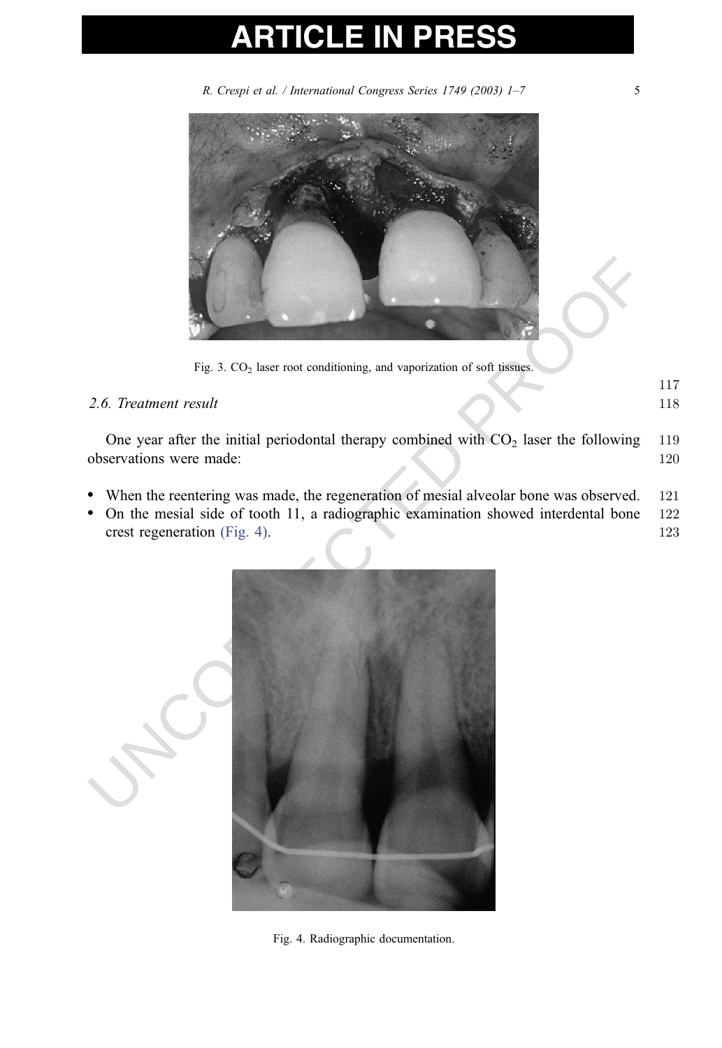# **ARTICLE IN PR**

R. Crespi et al. / International Congress Series 1749 (2003) 1-7 5

<span id="page-4-0"></span>

Fig. 3. CO<sub>2</sub> laser root conditioning, and vaporization of soft tissues.

### 2.6. Treatment result 118

117

One year after the initial periodontal therapy combined with  $CO<sub>2</sub>$  laser the following 119 observations were made: 120

- When the reentering was made, the regeneration of mesial alveolar bone was observed. 121
- On the mesial side of tooth 11, a radiographic examination showed interdental bone 122 crest regeneration (Fig. 4). 123



Fig. 4. Radiographic documentation.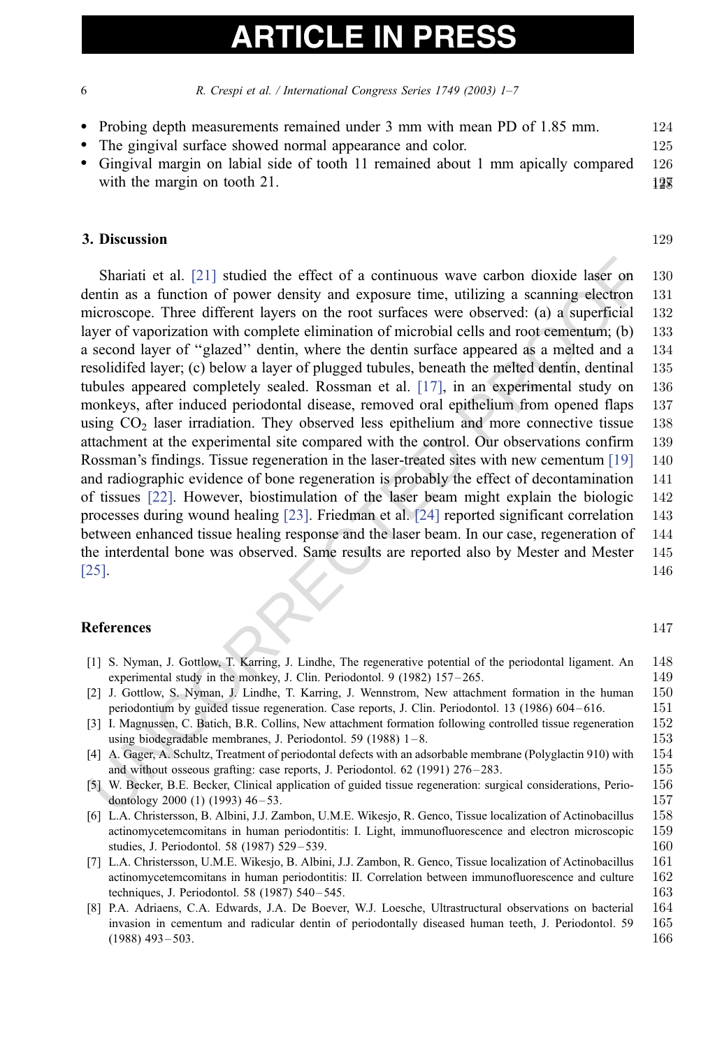<span id="page-5-0"></span>6 R. Crespi et al. / International Congress Series 1749 (2003) 1–7

- Probing depth measurements remained under 3 mm with mean PD of 1.85 mm. 124 • The gingival surface showed normal appearance and color. 125
- Gingival margin on labial side of tooth 11 remained about 1 mm apically compared 126 with the margin on tooth 21.  $12\pi$

### **3. Discussion 129**

Shariati et al. [21] studied the effect of a continuous wave carbon dioxide laser on<br>entini as a function of power density and exposure time, utilizing a scanning electron<br>dicroscope. Three different layers on the root su Shariati et al. [21] studied the effect of a continuous wave carbon dioxide laser on 130 dentin as a function of power density and exposure time, utilizing a scanning electron 131 microscope. Three different layers on the root surfaces were observed: (a) a superficial 132 layer of vaporization with complete elimination of microbial cells and root cementum; (b) 133 a second layer of ''glazed'' dentin, where the dentin surface appeared as a melted and a 134 resolidifed layer; (c) below a layer of plugged tubules, beneath the melted dentin, dentinal 135 tubules appeared completely sealed. Rossman et al. [17], in an experimental study on 136 monkeys, after induced periodontal disease, removed oral epithelium from opened flaps 137 using  $CO<sub>2</sub>$  laser irradiation. They observed less epithelium and more connective tissue 138 attachment at the experimental site compared with the control. Our observations confirm 139 Rossman's findings. Tissue regeneration in the laser-treated sites with new cementum [19] 140 and radiographic evidence of bone regeneration is probably the effect of decontamination 141 of tissues [22]. However, biostimulation of the laser beam might explain the biologic 142 processes during wound healing [23]. Friedman et al. [24] reported significant correlation 143 between enhanced tissue healing response and the laser beam. In our case, regeneration of 144 the interdental bone was observed. Same results are reported also by Mester and Mester 145 [25]. 146

### **References** 147

| $\lceil 1 \rceil$ | S. Nyman, J. Gottlow, T. Karring, J. Lindhe, The regenerative potential of the periodontal ligament. An         | 148 |
|-------------------|-----------------------------------------------------------------------------------------------------------------|-----|
|                   | experimental study in the monkey, J. Clin. Periodontol. 9 (1982) $157-265$ .                                    | 149 |
| $\lceil 2 \rceil$ | J. Gottlow, S. Nyman, J. Lindhe, T. Karring, J. Wennstrom, New attachment formation in the human                | 150 |
|                   | periodontium by guided tissue regeneration. Case reports, J. Clin. Periodontol. 13 (1986) 604–616.              | 151 |
|                   | [3] I. Magnussen, C. Batich, B.R. Collins, New attachment formation following controlled tissue regeneration    | 152 |
|                   | using biodegradable membranes, J. Periodontol. 59 (1988) $1-8$ .                                                | 153 |
|                   | [4] A. Gager, A. Schultz, Treatment of periodontal defects with an adsorbable membrane (Polyglactin 910) with   | 154 |
|                   | and without osseous grafting: case reports, J. Periodontol. 62 (1991) 276–283.                                  | 155 |
|                   | [5] W. Becker, B.E. Becker, Clinical application of guided tissue regeneration: surgical considerations, Perio- | 156 |
|                   | dontology 2000 (1) (1993) $46-53$ .                                                                             | 157 |
|                   | [6] L.A. Christersson, B. Albini, J.J. Zambon, U.M.E. Wikesjo, R. Genco, Tissue localization of Actinobacillus  | 158 |
|                   | actinomycetemcomitans in human periodontitis: I. Light, immunofluorescence and electron microscopic             | 159 |
|                   | studies, J. Periodontol. 58 (1987) 529–539.                                                                     | 160 |
|                   | [7] L.A. Christersson, U.M.E. Wikesjo, B. Albini, J.J. Zambon, R. Genco, Tissue localization of Actinobacillus  | 161 |
|                   | actinomycetemcomitans in human periodontitis: II. Correlation between immunofluorescence and culture            | 162 |
|                   | techniques, J. Periodontol. 58 (1987) 540–545.                                                                  | 163 |
|                   | [8] P.A. Adriaens, C.A. Edwards, J.A. De Boever, W.J. Loesche, Ultrastructural observations on bacterial        | 164 |
|                   | invasion in cementum and radicular dentin of periodontally diseased human teeth, J. Periodontol. 59             | 165 |
|                   | $(1988)$ 493 – 503.                                                                                             | 166 |